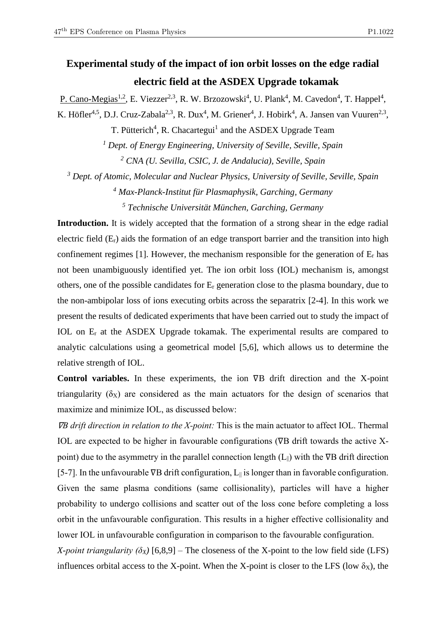## **Experimental study of the impact of ion orbit losses on the edge radial electric field at the ASDEX Upgrade tokamak**

P. Cano-Megias<sup>1,2</sup>, E. Viezzer<sup>2,3</sup>, R. W. Brzozowski<sup>4</sup>, U. Plank<sup>4</sup>, M. Cavedon<sup>4</sup>, T. Happel<sup>4</sup>, K. Höfler<sup>4,5</sup>, D.J. Cruz-Zabala<sup>2,3</sup>, R. Dux<sup>4</sup>, M. Griener<sup>4</sup>, J. Hobirk<sup>4</sup>, A. Jansen van Vuuren<sup>2,3</sup>,

T. Pütterich<sup>4</sup>, R. Chacartegui<sup>1</sup> and the ASDEX Upgrade Team

*<sup>1</sup> Dept. of Energy Engineering, University of Seville, Seville, Spain <sup>2</sup> CNA (U. Sevilla, CSIC, J. de Andalucia), Seville, Spain*

*<sup>3</sup> Dept. of Atomic, Molecular and Nuclear Physics, University of Seville, Seville, Spain <sup>4</sup> Max-Planck-Institut für Plasmaphysik, Garching, Germany*

*<sup>5</sup> Technische Universität München, Garching, Germany*

**Introduction.** It is widely accepted that the formation of a strong shear in the edge radial electric field  $(E_r)$  aids the formation of an edge transport barrier and the transition into high confinement regimes [1]. However, the mechanism responsible for the generation of  $E_r$  has not been unambiguously identified yet. The ion orbit loss (IOL) mechanism is, amongst others, one of the possible candidates for E<sup>r</sup> generation close to the plasma boundary, due to the non-ambipolar loss of ions executing orbits across the separatrix [2-4]. In this work we present the results of dedicated experiments that have been carried out to study the impact of IOL on E<sup>r</sup> at the ASDEX Upgrade tokamak. The experimental results are compared to analytic calculations using a geometrical model [5,6], which allows us to determine the relative strength of IOL.

**Control variables.** In these experiments, the ion ∇B drift direction and the X-point triangularity  $(\delta_X)$  are considered as the main actuators for the design of scenarios that maximize and minimize IOL, as discussed below:

<sup>∇</sup>*B drift direction in relation to the X-point:* This is the main actuator to affect IOL. Thermal IOL are expected to be higher in favourable configurations (∇B drift towards the active Xpoint) due to the asymmetry in the parallel connection length  $(L_{\parallel})$  with the  $\nabla B$  drift direction [5-7]. In the unfavourable ∇B drift configuration, L<sub>||</sub> is longer than in favorable configuration. Given the same plasma conditions (same collisionality), particles will have a higher probability to undergo collisions and scatter out of the loss cone before completing a loss orbit in the unfavourable configuration. This results in a higher effective collisionality and lower IOL in unfavourable configuration in comparison to the favourable configuration.

*X-point triangularity (* $\delta$ *<sub>X</sub>)* [6,8,9] – The closeness of the X-point to the low field side (LFS) influences orbital access to the X-point. When the X-point is closer to the LFS (low  $\delta_X$ ), the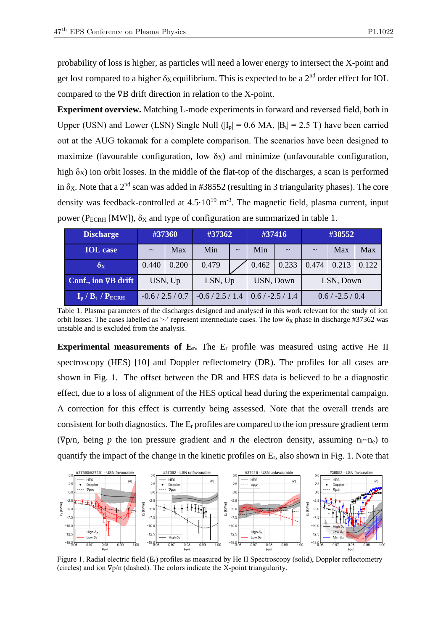probability of loss is higher, as particles will need a lower energy to intersect the X-point and get lost compared to a higher  $\delta_X$  equilibrium. This is expected to be a 2<sup>nd</sup> order effect for IOL compared to the ∇B drift direction in relation to the X-point.

**Experiment overview.** Matching L-mode experiments in forward and reversed field, both in Upper (USN) and Lower (LSN) Single Null ( $|I_p| = 0.6$  MA,  $|B_t| = 2.5$  T) have been carried out at the AUG tokamak for a complete comparison. The scenarios have been designed to maximize (favourable configuration, low  $\delta_X$ ) and minimize (unfavourable configuration, high  $\delta$ <sub>X</sub>) ion orbit losses. In the middle of the flat-top of the discharges, a scan is performed in  $\delta$ <sub>X</sub>. Note that a 2<sup>nd</sup> scan was added in #38552 (resulting in 3 triangularity phases). The core density was feedback-controlled at  $4.5 \cdot 10^{19}$  m<sup>-3</sup>. The magnetic field, plasma current, input power ( $P_{ECRH}$  [MW]),  $\delta_X$  and type of configuration are summarized in table 1.

| <b>Discharge</b>           | #37360             |       | #37362             |                       | #37416                      |        | #38552             |       |       |
|----------------------------|--------------------|-------|--------------------|-----------------------|-----------------------------|--------|--------------------|-------|-------|
| <b>IOL</b> case            | $\sim$             | Max   | Min                | $\tilde{\phantom{a}}$ | Min                         | $\sim$ | $\sim$             | Max   | Max   |
| $\delta_{\rm X}$           | 0.440              | 0.200 | 0.479              |                       | 0.462                       | 0.233  | 0.474              | 0.213 | 0.122 |
| Conf., ion VB drift        | USN, Up            |       | LSN, Up            |                       | USN, Down                   |        | LSN, Down          |       |       |
| $I_p$ / $B_t$ / $P_{ECRH}$ | $-0.6 / 2.5 / 0.7$ |       | $-0.6 / 2.5 / 1.4$ |                       | $\frac{10.6}{7}$ -2.5 / 1.4 |        | $0.6 / -2.5 / 0.4$ |       |       |

Table 1. Plasma parameters of the discharges designed and analysed in this work relevant for the study of ion orbit losses. The cases labelled as '~' represent intermediate cases. The low  $\delta_X$  phase in discharge #37362 was unstable and is excluded from the analysis.

**Experimental measurements of E<sub>r</sub>.** The E<sub>r</sub> profile was measured using active He II spectroscopy (HES) [10] and Doppler reflectometry (DR). The profiles for all cases are shown in Fig. 1. The offset between the DR and HES data is believed to be a diagnostic effect, due to a loss of alignment of the HES optical head during the experimental campaign. A correction for this effect is currently being assessed. Note that the overall trends are consistent for both diagnostics. The  $E_r$  profiles are compared to the ion pressure gradient term ( $\nabla p/n$ , being *p* the ion pressure gradient and *n* the electron density, assuming  $n_i \sim n_e$ ) to quantify the impact of the change in the kinetic profiles on Er, also shown in Fig. 1. Note that



Figure 1. Radial electric field  $(E_r)$  profiles as measured by He II Spectroscopy (solid), Doppler reflectometry (circles) and ion ∇p/n (dashed). The colors indicate the X-point triangularity.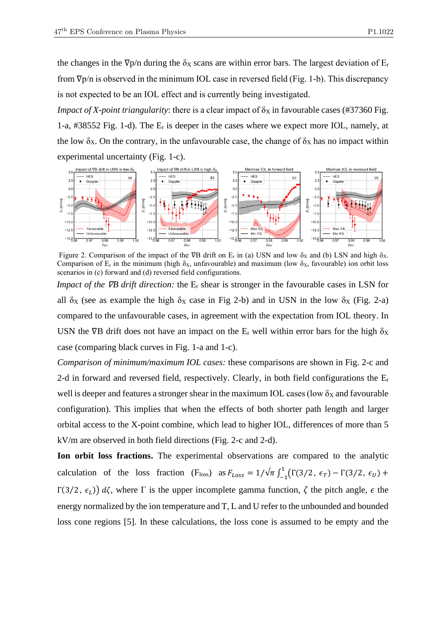the changes in the  $\nabla p/n$  during the  $\delta_X$  scans are within error bars. The largest deviation of  $E_r$ from ∇p/n is observed in the minimum IOL case in reversed field (Fig. 1-b). This discrepancy is not expected to be an IOL effect and is currently being investigated.

*Impact of X-point triangularity*: there is a clear impact of  $\delta_X$  in favourable cases (#37360 Fig. 1-a, #38552 Fig. 1-d). The  $E_r$  is deeper in the cases where we expect more IOL, namely, at the low  $\delta_X$ . On the contrary, in the unfavourable case, the change of  $\delta_X$  has no impact within experimental uncertainty (Fig. 1-c).



Figure 2. Comparison of the impact of the  $\nabla B$  drift on E<sub>r</sub> in (a) USN and low  $\delta_X$  and (b) LSN and high  $\delta_X$ . Comparison of  $E_r$  in the minimum (high  $\delta_X$ , unfavourable) and maximum (low  $\delta_X$ , favourable) ion orbit loss scenarios in (c) forward and (d) reversed field configurations.

*Impact of the*  $\nabla B$  *drift direction:* the E<sub>r</sub> shear is stronger in the favourable cases in LSN for all  $\delta_X$  (see as example the high  $\delta_X$  case in Fig 2-b) and in USN in the low  $\delta_X$  (Fig. 2-a) compared to the unfavourable cases, in agreement with the expectation from IOL theory. In USN the  $\nabla$ B drift does not have an impact on the E<sub>r</sub> well within error bars for the high  $\delta$ <sub>X</sub> case (comparing black curves in Fig. 1-a and 1-c).

*Comparison of minimum/maximum IOL cases:* these comparisons are shown in Fig. 2-c and 2-d in forward and reversed field, respectively. Clearly, in both field configurations the  $E_r$ well is deeper and features a stronger shear in the maximum IOL cases (low  $\delta_X$  and favourable configuration). This implies that when the effects of both shorter path length and larger orbital access to the X-point combine, which lead to higher IOL, differences of more than 5 kV/m are observed in both field directions (Fig. 2-c and 2-d).

**Ion orbit loss fractions.** The experimental observations are compared to the analytic calculation of the loss fraction (F<sub>loss</sub>) as  $F_{Loss} = 1/\sqrt{\pi} \int_{-1}^{1} (\Gamma(3/2, \epsilon_T) - \Gamma(3/2, \epsilon_U) +$ −1 Γ(3/2,  $\epsilon$ <sub>L</sub>))  $d\zeta$ , where Γ is the upper incomplete gamma function, ζ the pitch angle,  $\epsilon$  the energy normalized by the ion temperature and T, L and U refer to the unbounded and bounded loss cone regions [5]. In these calculations, the loss cone is assumed to be empty and the